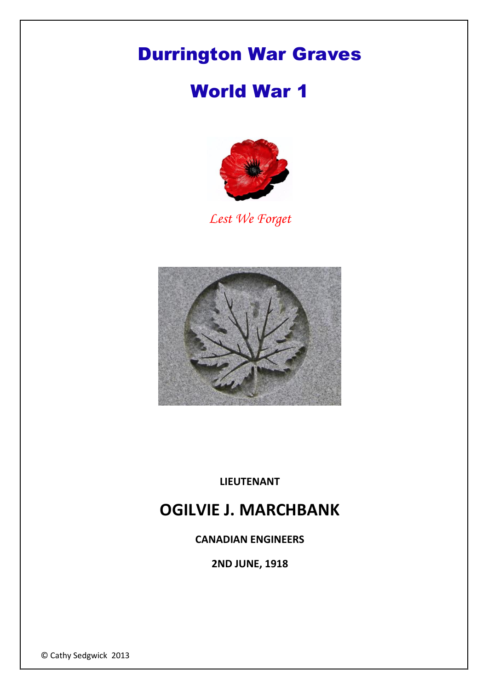## Durrington War Graves

## World War 1



*Lest We Forget*



**LIEUTENANT**

## **OGILVIE J. MARCHBANK**

**CANADIAN ENGINEERS**

**2ND JUNE, 1918**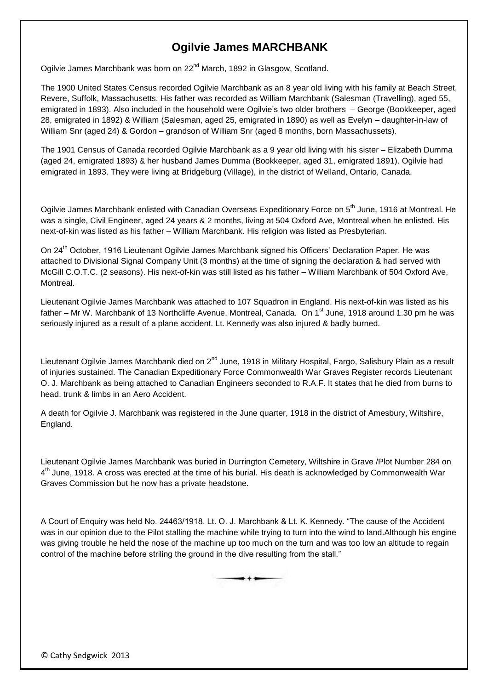## **Ogilvie James MARCHBANK**

Ogilvie James Marchbank was born on 22<sup>nd</sup> March, 1892 in Glasgow, Scotland.

The 1900 United States Census recorded Ogilvie Marchbank as an 8 year old living with his family at Beach Street, Revere, Suffolk, Massachusetts. His father was recorded as William Marchbank (Salesman (Travelling), aged 55, emigrated in 1893). Also included in the household were Ogilvie's two older brothers – George (Bookkeeper, aged 28, emigrated in 1892) & William (Salesman, aged 25, emigrated in 1890) as well as Evelyn – daughter-in-law of William Snr (aged 24) & Gordon – grandson of William Snr (aged 8 months, born Massachussets).

The 1901 Census of Canada recorded Ogilvie Marchbank as a 9 year old living with his sister – Elizabeth Dumma (aged 24, emigrated 1893) & her husband James Dumma (Bookkeeper, aged 31, emigrated 1891). Ogilvie had emigrated in 1893. They were living at Bridgeburg (Village), in the district of Welland, Ontario, Canada.

Ogilvie James Marchbank enlisted with Canadian Overseas Expeditionary Force on 5<sup>th</sup> June, 1916 at Montreal. He was a single, Civil Engineer, aged 24 years & 2 months, living at 504 Oxford Ave, Montreal when he enlisted. His next-of-kin was listed as his father – William Marchbank. His religion was listed as Presbyterian.

On 24<sup>th</sup> October, 1916 Lieutenant Ogilvie James Marchbank signed his Officers' Declaration Paper. He was attached to Divisional Signal Company Unit (3 months) at the time of signing the declaration & had served with McGill C.O.T.C. (2 seasons). His next-of-kin was still listed as his father – William Marchbank of 504 Oxford Ave, Montreal.

Lieutenant Ogilvie James Marchbank was attached to 107 Squadron in England. His next-of-kin was listed as his father – Mr W. Marchbank of 13 Northcliffe Avenue, Montreal, Canada. On 1<sup>st</sup> June, 1918 around 1.30 pm he was seriously injured as a result of a plane accident. Lt. Kennedy was also injured & badly burned.

Lieutenant Ogilvie James Marchbank died on 2<sup>nd</sup> June, 1918 in Military Hospital, Fargo, Salisbury Plain as a result of injuries sustained. The Canadian Expeditionary Force Commonwealth War Graves Register records Lieutenant O. J. Marchbank as being attached to Canadian Engineers seconded to R.A.F. It states that he died from burns to head, trunk & limbs in an Aero Accident.

A death for Ogilvie J. Marchbank was registered in the June quarter, 1918 in the district of Amesbury, Wiltshire, England.

Lieutenant Ogilvie James Marchbank was buried in Durrington Cemetery, Wiltshire in Grave /Plot Number 284 on 4<sup>th</sup> June, 1918. A cross was erected at the time of his burial. His death is acknowledged by Commonwealth War Graves Commission but he now has a private headstone.

A Court of Enquiry was held No. 24463/1918. Lt. O. J. Marchbank & Lt. K. Kennedy. "The cause of the Accident was in our opinion due to the Pilot stalling the machine while trying to turn into the wind to land.Although his engine was giving trouble he held the nose of the machine up too much on the turn and was too low an altitude to regain control of the machine before striling the ground in the dive resulting from the stall."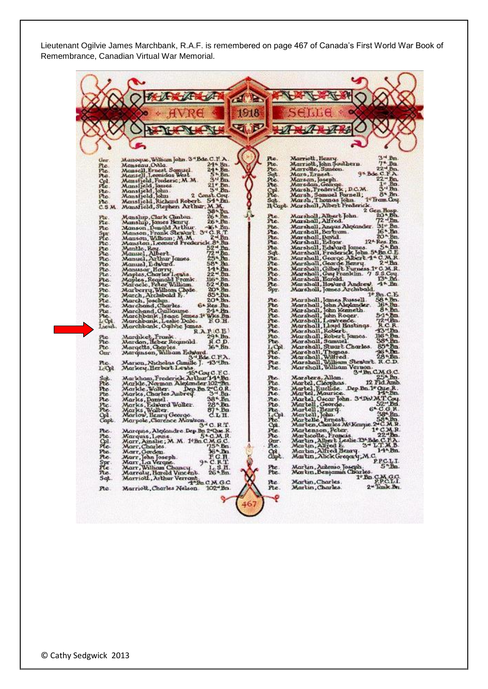Lieutenant Ogilvie James Marchbank, R.A.F. is remembered on page 467 of Canada's First World War Book of Remembrance, Canadian Virtual War Memorial.

|                          |                                       |                                                                                                             |                                                     | 1918 |                 |                                                                                                                                                                   |  |                                                                                                                                                                                   |
|--------------------------|---------------------------------------|-------------------------------------------------------------------------------------------------------------|-----------------------------------------------------|------|-----------------|-------------------------------------------------------------------------------------------------------------------------------------------------------------------|--|-----------------------------------------------------------------------------------------------------------------------------------------------------------------------------------|
|                          |                                       |                                                                                                             |                                                     |      |                 |                                                                                                                                                                   |  |                                                                                                                                                                                   |
|                          |                                       |                                                                                                             |                                                     | ьZ   |                 |                                                                                                                                                                   |  |                                                                                                                                                                                   |
|                          |                                       |                                                                                                             |                                                     |      |                 |                                                                                                                                                                   |  |                                                                                                                                                                                   |
|                          |                                       | Manoque, Wilham John. 3"Bds. C.I' A.                                                                        |                                                     |      | Pte.            | Marriott, Henry                                                                                                                                                   |  | 法門<br>Bn.                                                                                                                                                                         |
| Gmr.<br>Pte.             | Manseau, Ovila.                       |                                                                                                             | 24* Bh.                                             |      | Pte.<br>Ptc.    | Marriott, John Southern.<br>Marrotte, Suncon.                                                                                                                     |  | $7*$ Bu<br>22 <sup>-4</sup> Bn.                                                                                                                                                   |
| Ptc.<br>Pte.             |                                       | Mansell, Ernest Samuel<br>Mansell, Leonidas West                                                            | $34 \cdot Bn$<br>5 $\cdot$ Bn<br>3 <sup>N</sup> Bn. |      | Sgt.<br>Pte.    | Mars, Lrnest.<br>Marsan, Joseph.                                                                                                                                  |  | $9^{\texttt{A}}$ Box C.F.A.<br>$22 - Bn$                                                                                                                                          |
| 昆                        | Mansfield, James.<br>Mansfield, John. | Mansfield, Frederic, M.M.                                                                                   | $21*$ Bn.                                           |      | Pte             | Marsdan, Gearge.                                                                                                                                                  |  | $1^{\circ}$ Bn.<br>$314$ Bn.                                                                                                                                                      |
| Pto.<br>Pto.             |                                       |                                                                                                             | 3 <sup>-4</sup> Bn.<br>2 Const. Cou.                |      | 砚.              | Marsh, Frederick, D.C.M.                                                                                                                                          |  | 8* Bn.                                                                                                                                                                            |
| Pic.                     |                                       | Mansfjeld, John 2 Co<br>Mansfjeld, Richard Robert                                                           | 54 hm.                                              |      | Sqt<br>Il Capt. | Marsh, Samuel Farnell;<br>Marsh, Thomas John<br>Marshall, Albert Frederick                                                                                        |  | 1 <sup>4</sup> Fram.Cou.                                                                                                                                                          |
| C.5M                     |                                       | Monsfield, Stephen Arthur, M.M.                                                                             | $38 - 6n$                                           |      |                 |                                                                                                                                                                   |  | 2 Gen Hosp.<br>20 - Bn.                                                                                                                                                           |
| Pte.<br>Pte.             |                                       | Manslup, Clark Cunton.<br>Manship, James Henry.                                                             | $26 * Bn$ .<br>26* Bn.                              |      | Pie.<br>Pte.    | Marsholl, Albert John.<br>Marshall, Alfred.                                                                                                                       |  | $72 - fm$                                                                                                                                                                         |
| ne                       |                                       | Manson, Donald Arthur.                                                                                      | 46* bn.                                             |      | Pte.<br>Pte.    | Marshall, Angus Alexander.<br>Marshall, Bertram.                                                                                                                  |  | 31* Bn.<br>16* Bn.                                                                                                                                                                |
| Spr.<br>Ptc.             |                                       | Manson, Frank Stewart. 34 C.R.T.<br>Manson, Wilham; M.M.                                                    | $2 - fm$                                            |      | Pte.            | Marshall, David.<br>Marshall, Edgar.                                                                                                                              |  | 12 <sup>*</sup> Res. Bn.                                                                                                                                                          |
| Ptc.<br>Pto              |                                       | Manston, Leonard Frederick 8* Bn                                                                            | 52 <sup>-4</sup> Bm.                                |      | Pte.<br>Pte.    | Marshall, Edward James.                                                                                                                                           |  | 5* Bn.                                                                                                                                                                            |
| Pte                      |                                       | Mantle, Ray.<br>Manuel, Albert.<br>Manuel, Arthur James.                                                    | 72.86                                               |      | Sqt.<br>Pte.    | Marshall, Frederick John. 5-Bn C.E.<br>Marshall, George Albert 4* C.M.R.                                                                                          |  |                                                                                                                                                                                   |
| Ptc.<br>Pto.             | Manuel, Edward.                       |                                                                                                             | 58* Ba.                                             |      | Pte.            | Marshall, George Henry                                                                                                                                            |  | 2 - Ba                                                                                                                                                                            |
| Pto.<br>Pte.             |                                       | Manusar Harry<br>Maples,Charles Lewis                                                                       | $14 - 50$<br>$22 - Bn$                              |      | Pte.<br>Pte.    | Marshall, Gilbert Furness 1° C. M.R.<br>Marshall, Guy Franklin. 7 S.S.Coy.                                                                                        |  |                                                                                                                                                                                   |
| Pte.                     |                                       | Maples, Requiald Frank                                                                                      | 116 <sup>*</sup> Bn.                                |      | Pte.            | Marshall, Harold.                                                                                                                                                 |  | 13* Bn.<br>$4^*$ Bn                                                                                                                                                               |
| Pte.<br>Ptc.             |                                       | Maracle, Peter William.<br>Marberry, Wilham Chide                                                           | $52 - Bn$<br>$20*$ Bn.                              |      | Pte.<br>Spr.    | Marshall, Howard Andrew.<br>Marshall, James Archibald.                                                                                                            |  |                                                                                                                                                                                   |
| Pte.<br>Иe.              |                                       | March, Archibald E.                                                                                         | 85*Bn.<br>20* Bn.                                   |      | Pte.            |                                                                                                                                                                   |  | $1*$ Bn. C.E.<br>58 $*$ Bn.                                                                                                                                                       |
| Pte.                     | March, Josclun.                       | Marchand, Charles.                                                                                          | 6* Res. Bn.                                         |      | Pte             | Marshall, James Russell<br>Marshall, John Alexander,<br>Marshall, John Neumeth,<br>Marshall, John Roger,<br>Marshall, Lauvender,<br>Marshall, Lauvender,          |  | 16* Bn.                                                                                                                                                                           |
| Pte.<br>Иe.              |                                       | Marchand, Guillaume                                                                                         | $24 \cdot$ En.                                      |      | Pte.<br>Pte.    |                                                                                                                                                                   |  | $8 * Bn$                                                                                                                                                                          |
| L Cel<br>Lacut.          |                                       | Marchbank, Isaac James 1* Wics Bn.<br>Marchbank, Leslie Dale.            F O.H.<br>Marchbank, Ogibic James. |                                                     |      | Pte.<br>Pte.    | Marshall, Lloyd Hastings.                                                                                                                                         |  | $\frac{54 \times 8m}{R \times R}$                                                                                                                                                 |
|                          |                                       |                                                                                                             | R.A.P.C.B                                           |      | Pte.            | Marshall, Robert.                                                                                                                                                 |  | $43^{\circ}$ .                                                                                                                                                                    |
| Pte<br>Pte.              |                                       | Mardıket, Frank<br>Mardon, Heber Reginald                                                                   | 29 <sup>k</sup> .Bo.<br>R.C.D.                      |      | Pto.<br>Pbe.    | Marshall, Robert James.<br>Marshall, Samuel                                                                                                                       |  | 116 * Bn.<br>38 * Bn.                                                                                                                                                             |
| Ptc.                     |                                       | Margetts, Charles.<br>Marqınson, William Edward.                                                            | 16* Bn.                                             |      | LФ<br>Pte.      |                                                                                                                                                                   |  | $85^{\circ}$ bn.<br>46 * En.                                                                                                                                                      |
| <b>Gur</b>               |                                       |                                                                                                             | 3*Bde.C.F.A.                                        |      | Pte.            |                                                                                                                                                                   |  | $28 - Bn$                                                                                                                                                                         |
| Ptc.<br>L <sub>Cp1</sub> |                                       | Marion, Nicholas Camille J. 43'48n.<br>Markey, Herbert Lewis                                                |                                                     |      | Pte.<br>Pte.    | Marshall, Stuart Charles. 85*Bn<br>Marshall, Thomas. 98*Bn<br>Marshall, William Stewart. 8.6.Bn<br>Marshall, William Stewart. 8.6.B.<br>Marshall, William Vernon. |  |                                                                                                                                                                                   |
|                          |                                       | Markham, Frederick Arlbur 14*Bu                                                                             | 45*Coy C.E.C.                                       |      | Pte.            | Marsters, Allan.                                                                                                                                                  |  | 3-1Bn CM G.C.                                                                                                                                                                     |
| Sqt.<br>Pte              |                                       | Markle, Norman Alexander 102-Bn.                                                                            |                                                     |      | Pte.            | Martel, Cleophas.                                                                                                                                                 |  | 12 Fid. Amb.                                                                                                                                                                      |
| Pte.<br>Pto.             |                                       | Markle,Walter. Dep.<br>Marks,Charles Aubrey.                                                                | Dep.Bn.2-C.O.R.<br>rev. 3- Bn.                      |      | Pte.<br>ne.     | Martel, Euclide. Dep Bn.1º Que.R.<br>Martel, Maurice.                                                                                                             |  | $14 - En$                                                                                                                                                                         |
| Pte<br>Pte.              | Marks, Damel.                         |                                                                                                             | 38*.Bn<br>$28^\circ$ .Ba                            |      | Pte.<br>Pie.    | Martel, Oscar John. 3*Div.M.T.Coy.<br>Martell, George. 52*Bu.                                                                                                     |  |                                                                                                                                                                                   |
| Pte.                     |                                       | Marks, Edward Walter.<br>Marks, Walter.<br>Marlow, Henry George.                                            | $87 - Ba$                                           |      | Pte.            | Martell, Benry.                                                                                                                                                   |  | $52 - 8n$<br>$6 - C \cdot G \cdot R$                                                                                                                                              |
| Сp1.<br>Capt             |                                       | Marpole , Clarence Mawson                                                                                   | CLH.                                                |      | LON<br>Pte.     | Martell, John.<br>Martelle, Ernest.<br>Marten, Charles McKenyie 2 C.M.R.                                                                                          |  | 38-Bn.<br>$58 - Bn$                                                                                                                                                               |
| Pte.                     |                                       | Marquis, Alexandre Dep Bu 2"Que R.                                                                          | 34 C. R.T                                           |      | Se.             | Marlenson, Peter.                                                                                                                                                 |  | $1*$ CMR.                                                                                                                                                                         |
| ræ,                      | Marquis, Louis                        |                                                                                                             | $2nC$ while                                         |      | ræ.             | Mar Licotte                                                                                                                                                       |  | $22 - B$                                                                                                                                                                          |
| He.                      | Marr, Charles                         | Morr, Ainshe; M. M. 1 Bn C.M.G.C.                                                                           | $75^{\circ}$ Bn.                                    | ٥    | Gur.<br>Pte.    | Martin, Albert Leslie 13t Bdc, C.F.A.<br>Martin, Alfred E. 3th L.T.M.B.<br>Martin, Alfred Beary. 14th Bn.                                                         |  |                                                                                                                                                                                   |
| Pte.<br>Ħе.              | Marr, Gordon.                         |                                                                                                             | 16 - Bn.                                            |      | Ster.           | Martin, Alick Gregary, M.C.                                                                                                                                       |  |                                                                                                                                                                                   |
| Spr.<br>Ple              |                                       | Marr, John Joseph.<br>Marr, L.a Verque.<br>Marr, Wilham Chancy.                                             | $9 - C R$ <sup>T</sup>                              |      |                 |                                                                                                                                                                   |  | PPC.LT.                                                                                                                                                                           |
| ne.                      |                                       | Marraty, Harold Vincent.                                                                                    | $^{1.5.8}_{264.8n}$                                 |      | Pte.<br>Pbe.    | Marun, Autonio Joseph.<br>Martin, Benjamin Charles.                                                                                                               |  |                                                                                                                                                                                   |
| Sqt.                     |                                       | Marriott, Arthur Verrant                                                                                    | $4^n$ Bn C.M.G.C.                                   |      | Pte.            | Marlin, Charles.                                                                                                                                                  |  | $1$ <sup>*</sup> $Bn$ <sub><math>2M</math><math>9Q</math><math>7</math><math>1</math><math>1</math><math>2M</math><math>9Q</math><math>7</math><math>1</math><math>1</math></sub> |
| Pte.                     |                                       | Marriott, Charles Nelson.                                                                                   | $102 - Bn$ .                                        |      | Pte.            | Mortin, Charles.                                                                                                                                                  |  | 2* Tank Bn.                                                                                                                                                                       |
|                          |                                       |                                                                                                             |                                                     |      |                 |                                                                                                                                                                   |  |                                                                                                                                                                                   |
|                          |                                       |                                                                                                             |                                                     |      |                 |                                                                                                                                                                   |  |                                                                                                                                                                                   |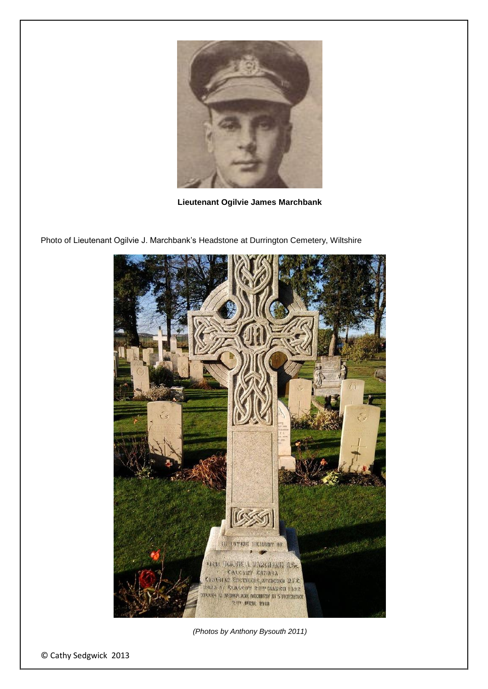

**Lieutenant Ogilvie James Marchbank**



Photo of Lieutenant Ogilvie J. Marchbank's Headstone at Durrington Cemetery, Wiltshire

*(Photos by Anthony Bysouth 2011)*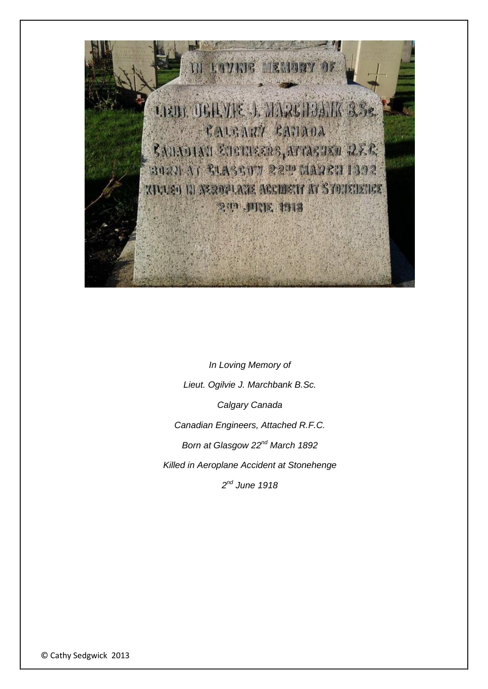

*In Loving Memory of Lieut. Ogilvie J. Marchbank B.Sc. Calgary Canada Canadian Engineers, Attached R.F.C. Born at Glasgow 22nd March 1892 Killed in Aeroplane Accident at Stonehenge 2 nd June 1918*